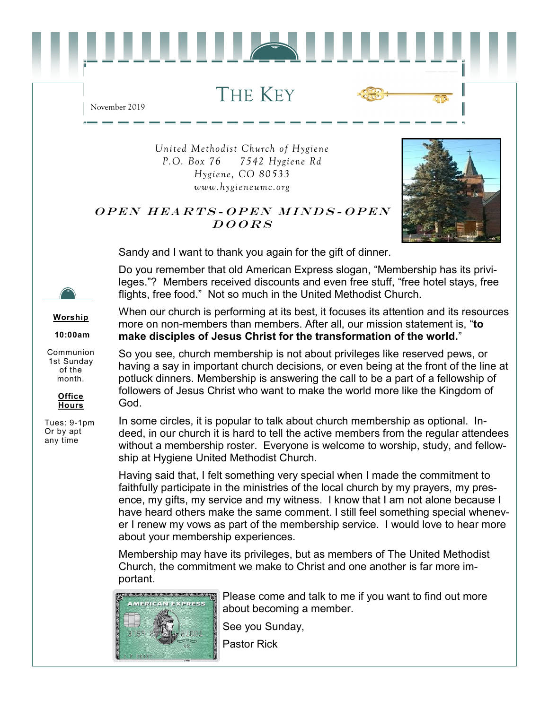THE KEY

November 2019

*United Methodist Church of Hygiene P.O. Box 76 7542 Hygiene Rd Hygiene, CO 80533 www.hygieneumc.org*

#### OPEN HEARTS-OPEN MINDS-OPEN  $DOORS$



Sandy and I want to thank you again for the gift of dinner.

Do you remember that old American Express slogan, "Membership has its privileges."? Members received discounts and even free stuff, "free hotel stays, free flights, free food." Not so much in the United Methodist Church.

**Worship**

**10:00am**

Communion 1st Sunday of the month.



Tues: 9-1pm Or by apt any time

When our church is performing at its best, it focuses its attention and its resources more on non-members than members. After all, our mission statement is, "**[to](http://www.umc.org/what-we-believe/section-1-the-churches)  [make disciples of Jesus Christ for the transformation of the world.](http://www.umc.org/what-we-believe/section-1-the-churches)**"

So you see, [church membership](http://www.umc.org/what-we-believe/how-do-i-become-a-member-of-a-united-methodist-church) is not about privileges like [reserved pews,](http://www.umc.org/news-and-media/somebody-has-been-sitting-in-my-pew) or having a say in important church decisions, or even being at the front of the line at potluck dinners. Membership is answering the call to be a part of a fellowship of followers of Jesus Christ who want to make the world more like the Kingdom of God.

In some circles, it is popular to talk about church membership as optional. Indeed, in our church it is hard to tell the active members from the regular attendees without a membership roster. Everyone is welcome to worship, study, and fellowship at Hygiene United Methodist Church.

Having said that, I felt something very special when I made the commitment to faithfully participate in the ministries of the local church by my prayers, my presence, my gifts, my service and my witness. I know that I am not alone because I have heard others make the same comment. I still feel something special whenever I renew my vows as part of the membership service. I would love to hear more about your membership experiences.

Membership may have its privileges, but as members of The United Methodist Church, the commitment we make to Christ and one another is far more important.



Please come and talk to me if you want to find out more about becoming a member.

See you Sunday,

Pastor Rick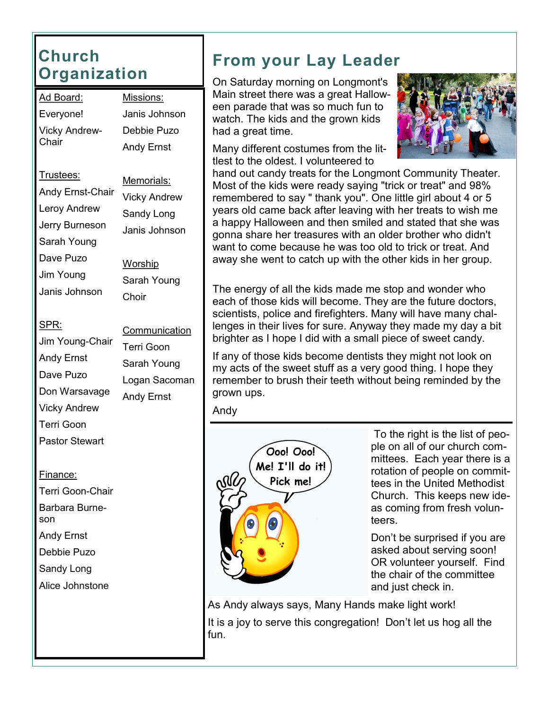#### **Church Organization**

| <u> Ad Board:</u>                                                                                                                | <u> Missions:</u>                                                                                   |
|----------------------------------------------------------------------------------------------------------------------------------|-----------------------------------------------------------------------------------------------------|
| Everyone!                                                                                                                        | Janis Johnson                                                                                       |
| <b>Vicky Andrew-</b>                                                                                                             | Debbie Puzo                                                                                         |
| Chair                                                                                                                            | Andy Ernst                                                                                          |
| Trustees:<br>Andy Ernst-Chair<br><b>Leroy Andrew</b><br>Jerry Burneson<br>Sarah Young<br>Dave Puzo<br>Jim Young<br>Janis Johnson | Memorials:<br>Vicky Andrew<br>Sandy Long<br>Janis Johnson<br><u>Worship</u><br>Sarah Young<br>Choir |
| SPR:                                                                                                                             | Communication                                                                                       |
| Jim Young-Chair                                                                                                                  | <b>Terri Goon</b>                                                                                   |

Andy Ernst Dave Puzo Don Warsavage Vicky Andrew Terri Goon Sarah Young Logan Sacoman Andy Ernst

Finance:

Pastor Stewart

Terri Goon-Chair Barbara Burneson Andy Ernst Debbie Puzo Sandy Long Alice Johnstone

## **From your Lay Leader**

On Saturday morning on Longmont's Main street there was a great Halloween parade that was so much fun to watch. The kids and the grown kids had a great time.

Many different costumes from the littlest to the oldest. I volunteered to



hand out candy treats for the Longmont Community Theater. Most of the kids were ready saying "trick or treat" and 98% remembered to say " thank you". One little girl about 4 or 5 years old came back after leaving with her treats to wish me a happy Halloween and then smiled and stated that she was gonna share her treasures with an older brother who didn't want to come because he was too old to trick or treat. And away she went to catch up with the other kids in her group.

The energy of all the kids made me stop and wonder who each of those kids will become. They are the future doctors, scientists, police and firefighters. Many will have many challenges in their lives for sure. Anyway they made my day a bit brighter as I hope I did with a small piece of sweet candy.

If any of those kids become dentists they might not look on my acts of the sweet stuff as a very good thing. I hope they remember to brush their teeth without being reminded by the grown ups.

Andy



To the right is the list of people on all of our church committees. Each year there is a rotation of people on committees in the United Methodist Church. This keeps new ideas coming from fresh volunteers.

Don't be surprised if you are asked about serving soon! OR volunteer yourself. Find the chair of the committee and just check in.

As Andy always says, Many Hands make light work! It is a joy to serve this congregation! Don't let us hog all the fun.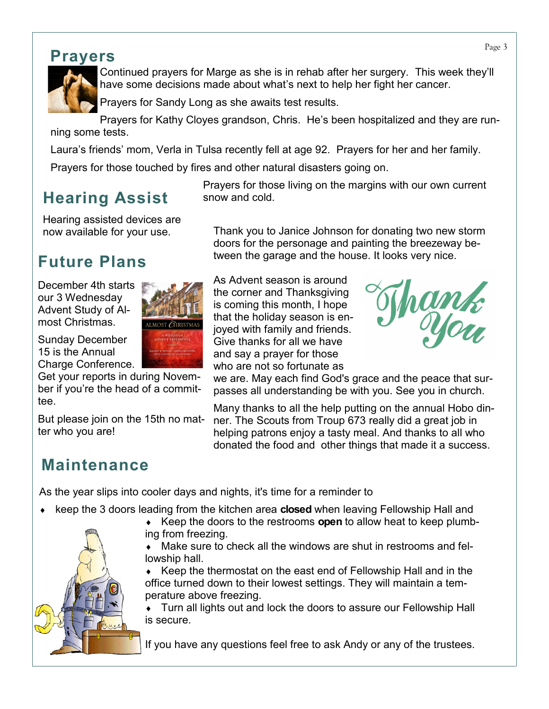#### **Prayers**



Continued prayers for Marge as she is in rehab after her surgery. This week they'll have some decisions made about what's next to help her fight her cancer.

Prayers for Sandy Long as she awaits test results.

Prayers for Kathy Cloyes grandson, Chris. He's been hospitalized and they are running some tests.

Laura's friends' mom, Verla in Tulsa recently fell at age 92. Prayers for her and her family.

Prayers for those touched by fires and other natural disasters going on.

# **Hearing Assist**

Prayers for those living on the margins with our own current snow and cold.

Hearing assisted devices are now available for your use.

# **Future Plans**

December 4th starts our 3 Wednesday Advent Study of Almost Christmas.

Sunday December 15 is the Annual Charge Conference.

Get your reports in during November if you're the head of a committee.

But please join on the 15th no matter who you are!

Thank you to Janice Johnson for donating two new storm doors for the personage and painting the breezeway between the garage and the house. It looks very nice.

As Advent season is around the corner and Thanksgiving is coming this month, I hope that the holiday season is enjoyed with family and friends. Give thanks for all we have and say a prayer for those who are not so fortunate as



we are. May each find God's grace and the peace that surpasses all understanding be with you. See you in church.

Many thanks to all the help putting on the annual Hobo dinner. The Scouts from Troup 673 really did a great job in helping patrons enjoy a tasty meal. And thanks to all who donated the food and other things that made it a success.

#### **Maintenance**

As the year slips into cooler days and nights, it's time for a reminder to

- keep the 3 doors leading from the kitchen area **closed** when leaving Fellowship Hall and
	- Keep the doors to the restrooms **open** to allow heat to keep plumbing from freezing.

 Make sure to check all the windows are shut in restrooms and fellowship hall.

 Keep the thermostat on the east end of Fellowship Hall and in the office turned down to their lowest settings. They will maintain a temperature above freezing.

 Turn all lights out and lock the doors to assure our Fellowship Hall is secure.

If you have any questions feel free to ask Andy or any of the trustees.

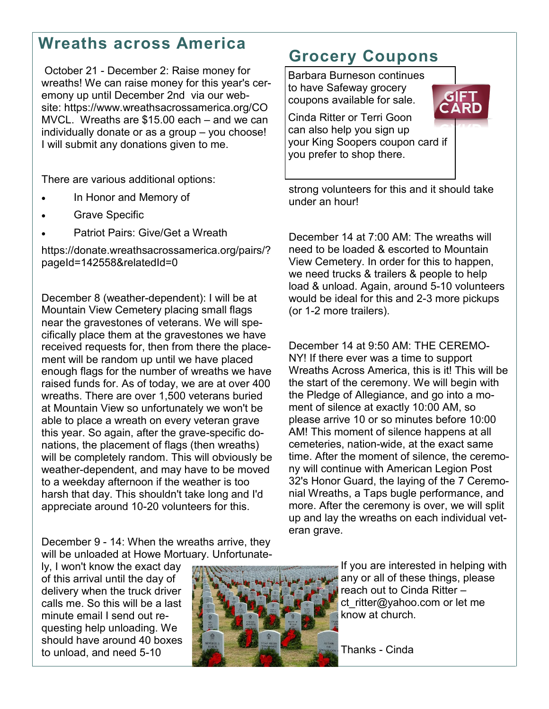#### **Wreaths across America**

October 21 - December 2: Raise money for wreaths! We can raise money for this year's ceremony up until December 2nd via our website: https://www.wreathsacrossamerica.org/CO MVCL. Wreaths are \$15.00 each – and we can individually donate or as a group – you choose! I will submit any donations given to me.

There are various additional options:

- In Honor and Memory of
- Grave Specific
- Patriot Pairs: Give/Get a Wreath

https://donate.wreathsacrossamerica.org/pairs/? pageId=142558&relatedId=0

December 8 (weather-dependent): I will be at Mountain View Cemetery placing small flags near the gravestones of veterans. We will specifically place them at the gravestones we have received requests for, then from there the placement will be random up until we have placed enough flags for the number of wreaths we have raised funds for. As of today, we are at over 400 wreaths. There are over 1,500 veterans buried at Mountain View so unfortunately we won't be able to place a wreath on every veteran grave this year. So again, after the grave-specific donations, the placement of flags (then wreaths) will be completely random. This will obviously be weather-dependent, and may have to be moved to a weekday afternoon if the weather is too harsh that day. This shouldn't take long and I'd appreciate around 10-20 volunteers for this.

December 9 - 14: When the wreaths arrive, they will be unloaded at Howe Mortuary. Unfortunate-

ly, I won't know the exact day of this arrival until the day of delivery when the truck driver calls me. So this will be a last minute email I send out requesting help unloading. We should have around 40 boxes to unload, and need 5-10



### **Grocery Coupons**

Barbara Burneson continues to have Safeway grocery coupons available for sale.



strong volunteers for this and it should take under an hour!

December 14 at 7:00 AM: The wreaths will need to be loaded & escorted to Mountain View Cemetery. In order for this to happen, we need trucks & trailers & people to help load & unload. Again, around 5-10 volunteers would be ideal for this and 2-3 more pickups (or 1-2 more trailers).

December 14 at 9:50 AM: THE CEREMO-NY! If there ever was a time to support Wreaths Across America, this is it! This will be the start of the ceremony. We will begin with the Pledge of Allegiance, and go into a moment of silence at exactly 10:00 AM, so please arrive 10 or so minutes before 10:00 AM! This moment of silence happens at all cemeteries, nation-wide, at the exact same time. After the moment of silence, the ceremony will continue with American Legion Post 32's Honor Guard, the laying of the 7 Ceremonial Wreaths, a Taps bugle performance, and more. After the ceremony is over, we will split up and lay the wreaths on each individual veteran grave.

> If you are interested in helping with any or all of these things, please reach out to Cinda Ritter – ct ritter@yahoo.com or let me know at church.

Thanks - Cinda